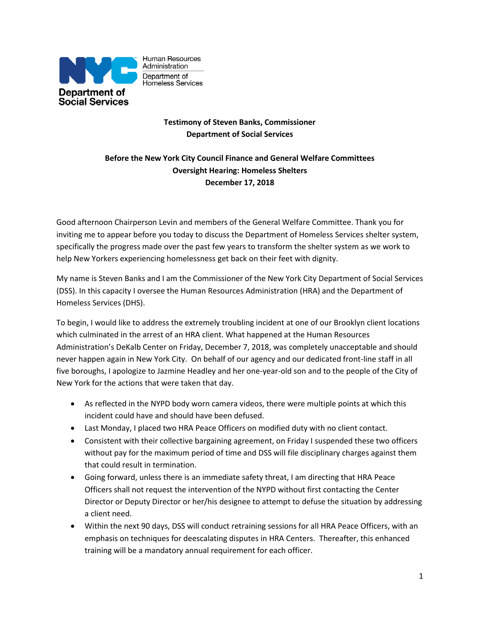

Human Resources Administration Department of Homeless Services

## **Testimony of Steven Banks, Commissioner Department of Social Services**

# **Before the New York City Council Finance and General Welfare Committees Oversight Hearing: Homeless Shelters December 17, 2018**

Good afternoon Chairperson Levin and members of the General Welfare Committee. Thank you for inviting me to appear before you today to discuss the Department of Homeless Services shelter system, specifically the progress made over the past few years to transform the shelter system as we work to help New Yorkers experiencing homelessness get back on their feet with dignity.

My name is Steven Banks and I am the Commissioner of the New York City Department of Social Services (DSS). In this capacity I oversee the Human Resources Administration (HRA) and the Department of Homeless Services (DHS).

To begin, I would like to address the extremely troubling incident at one of our Brooklyn client locations which culminated in the arrest of an HRA client. What happened at the Human Resources Administration's DeKalb Center on Friday, December 7, 2018, was completely unacceptable and should never happen again in New York City. On behalf of our agency and our dedicated front-line staff in all five boroughs, I apologize to Jazmine Headley and her one-year-old son and to the people of the City of New York for the actions that were taken that day.

- As reflected in the NYPD body worn camera videos, there were multiple points at which this incident could have and should have been defused.
- Last Monday, I placed two HRA Peace Officers on modified duty with no client contact.
- Consistent with their collective bargaining agreement, on Friday I suspended these two officers without pay for the maximum period of time and DSS will file disciplinary charges against them that could result in termination.
- Going forward, unless there is an immediate safety threat, I am directing that HRA Peace Officers shall not request the intervention of the NYPD without first contacting the Center Director or Deputy Director or her/his designee to attempt to defuse the situation by addressing a client need.
- Within the next 90 days, DSS will conduct retraining sessions for all HRA Peace Officers, with an emphasis on techniques for deescalating disputes in HRA Centers. Thereafter, this enhanced training will be a mandatory annual requirement for each officer.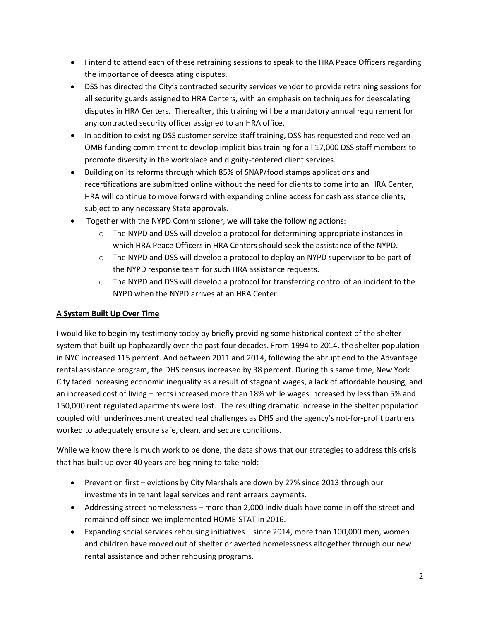- I intend to attend each of these retraining sessions to speak to the HRA Peace Officers regarding the importance of deescalating disputes.
- DSS has directed the City's contracted security services vendor to provide retraining sessions for all security guards assigned to HRA Centers, with an emphasis on techniques for deescalating disputes in HRA Centers. Thereafter, this training will be a mandatory annual requirement for any contracted security officer assigned to an HRA office.
- In addition to existing DSS customer service staff training, DSS has requested and received an OMB funding commitment to develop implicit bias training for all 17,000 DSS staff members to promote diversity in the workplace and dignity-centered client services.
- Building on its reforms through which 85% of SNAP/food stamps applications and recertifications are submitted online without the need for clients to come into an HRA Center, HRA will continue to move forward with expanding online access for cash assistance clients, subject to any necessary State approvals.
- Together with the NYPD Commissioner, we will take the following actions:
	- $\circ$  The NYPD and DSS will develop a protocol for determining appropriate instances in which HRA Peace Officers in HRA Centers should seek the assistance of the NYPD.
	- o The NYPD and DSS will develop a protocol to deploy an NYPD supervisor to be part of the NYPD response team for such HRA assistance requests.
	- $\circ$  The NYPD and DSS will develop a protocol for transferring control of an incident to the NYPD when the NYPD arrives at an HRA Center.

## **A System Built Up Over Time**

I would like to begin my testimony today by briefly providing some historical context of the shelter system that built up haphazardly over the past four decades. From 1994 to 2014, the shelter population in NYC increased 115 percent. And between 2011 and 2014, following the abrupt end to the Advantage rental assistance program, the DHS census increased by 38 percent. During this same time, New York City faced increasing economic inequality as a result of stagnant wages, a lack of affordable housing, and an increased cost of living – rents increased more than 18% while wages increased by less than 5% and 150,000 rent regulated apartments were lost. The resulting dramatic increase in the shelter population coupled with underinvestment created real challenges as DHS and the agency's not-for-profit partners worked to adequately ensure safe, clean, and secure conditions.

While we know there is much work to be done, the data shows that our strategies to address this crisis that has built up over 40 years are beginning to take hold:

- Prevention first evictions by City Marshals are down by 27% since 2013 through our investments in tenant legal services and rent arrears payments.
- Addressing street homelessness more than 2,000 individuals have come in off the street and remained off since we implemented HOME-STAT in 2016.
- Expanding social services rehousing initiatives since 2014, more than 100,000 men, women and children have moved out of shelter or averted homelessness altogether through our new rental assistance and other rehousing programs.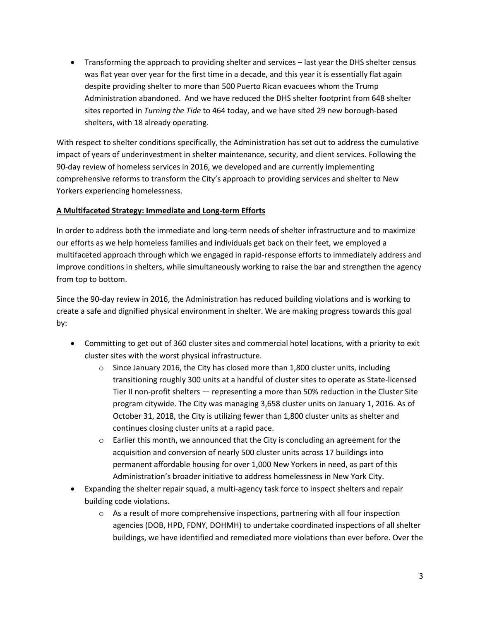Transforming the approach to providing shelter and services – last year the DHS shelter census was flat year over year for the first time in a decade, and this year it is essentially flat again despite providing shelter to more than 500 Puerto Rican evacuees whom the Trump Administration abandoned. And we have reduced the DHS shelter footprint from 648 shelter sites reported in *Turning the Tide* to 464 today, and we have sited 29 new borough-based shelters, with 18 already operating.

With respect to shelter conditions specifically, the Administration has set out to address the cumulative impact of years of underinvestment in shelter maintenance, security, and client services. Following the 90-day review of homeless services in 2016, we developed and are currently implementing comprehensive reforms to transform the City's approach to providing services and shelter to New Yorkers experiencing homelessness.

## **A Multifaceted Strategy: Immediate and Long-term Efforts**

In order to address both the immediate and long-term needs of shelter infrastructure and to maximize our efforts as we help homeless families and individuals get back on their feet, we employed a multifaceted approach through which we engaged in rapid-response efforts to immediately address and improve conditions in shelters, while simultaneously working to raise the bar and strengthen the agency from top to bottom.

Since the 90-day review in 2016, the Administration has reduced building violations and is working to create a safe and dignified physical environment in shelter. We are making progress towards this goal by:

- Committing to get out of 360 cluster sites and commercial hotel locations, with a priority to exit cluster sites with the worst physical infrastructure.
	- $\circ$  Since January 2016, the City has closed more than 1,800 cluster units, including transitioning roughly 300 units at a handful of cluster sites to operate as State-licensed Tier II non-profit shelters — representing a more than 50% reduction in the Cluster Site program citywide. The City was managing 3,658 cluster units on January 1, 2016. As of October 31, 2018, the City is utilizing fewer than 1,800 cluster units as shelter and continues closing cluster units at a rapid pace.
	- $\circ$  Earlier this month, we announced that the City is concluding an agreement for the acquisition and conversion of nearly 500 cluster units across 17 buildings into permanent affordable housing for over 1,000 New Yorkers in need, as part of this Administration's broader initiative to address homelessness in New York City.
- Expanding the shelter repair squad, a multi-agency task force to inspect shelters and repair building code violations.
	- $\circ$  As a result of more comprehensive inspections, partnering with all four inspection agencies (DOB, HPD, FDNY, DOHMH) to undertake coordinated inspections of all shelter buildings, we have identified and remediated more violations than ever before. Over the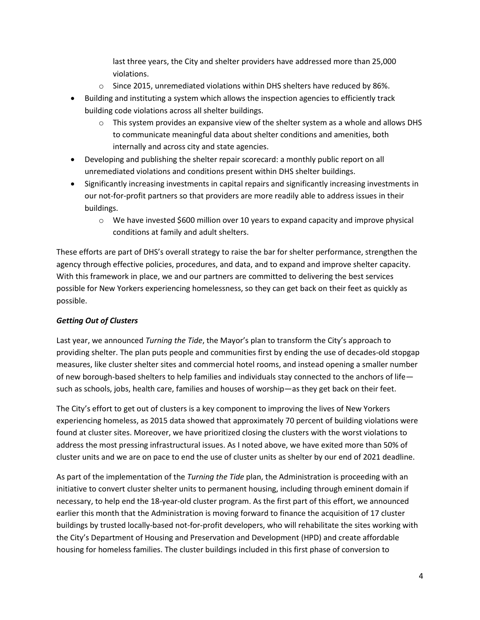last three years, the City and shelter providers have addressed more than 25,000 violations.

- o Since 2015, unremediated violations within DHS shelters have reduced by 86%.
- Building and instituting a system which allows the inspection agencies to efficiently track building code violations across all shelter buildings.
	- $\circ$  This system provides an expansive view of the shelter system as a whole and allows DHS to communicate meaningful data about shelter conditions and amenities, both internally and across city and state agencies.
- Developing and publishing the shelter repair scorecard: a monthly public report on all unremediated violations and conditions present within DHS shelter buildings.
- Significantly increasing investments in capital repairs and significantly increasing investments in our not-for-profit partners so that providers are more readily able to address issues in their buildings.
	- $\circ$  We have invested \$600 million over 10 years to expand capacity and improve physical conditions at family and adult shelters.

These efforts are part of DHS's overall strategy to raise the bar for shelter performance, strengthen the agency through effective policies, procedures, and data, and to expand and improve shelter capacity. With this framework in place, we and our partners are committed to delivering the best services possible for New Yorkers experiencing homelessness, so they can get back on their feet as quickly as possible.

## *Getting Out of Clusters*

Last year, we announced *Turning the Tide*, the Mayor's plan to transform the City's approach to providing shelter. The plan puts people and communities first by ending the use of decades-old stopgap measures, like cluster shelter sites and commercial hotel rooms, and instead opening a smaller number of new borough-based shelters to help families and individuals stay connected to the anchors of life such as schools, jobs, health care, families and houses of worship—as they get back on their feet.

The City's effort to get out of clusters is a key component to improving the lives of New Yorkers experiencing homeless, as 2015 data showed that approximately 70 percent of building violations were found at cluster sites. Moreover, we have prioritized closing the clusters with the worst violations to address the most pressing infrastructural issues. As I noted above, we have exited more than 50% of cluster units and we are on pace to end the use of cluster units as shelter by our end of 2021 deadline.

As part of the implementation of the *Turning the Tide* plan, the Administration is proceeding with an initiative to convert cluster shelter units to permanent housing, including through eminent domain if necessary, to help end the 18-year-old cluster program. As the first part of this effort, we announced earlier this month that the Administration is moving forward to finance the acquisition of 17 cluster buildings by trusted locally-based not-for-profit developers, who will rehabilitate the sites working with the City's Department of Housing and Preservation and Development (HPD) and create affordable housing for homeless families. The cluster buildings included in this first phase of conversion to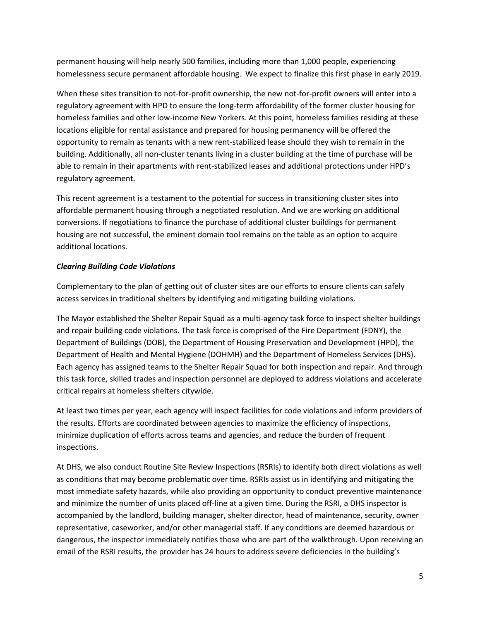permanent housing will help nearly 500 families, including more than 1,000 people, experiencing homelessness secure permanent affordable housing. We expect to finalize this first phase in early 2019.

When these sites transition to not-for-profit ownership, the new not-for-profit owners will enter into a regulatory agreement with HPD to ensure the long-term affordability of the former cluster housing for homeless families and other low-income New Yorkers. At this point, homeless families residing at these locations eligible for rental assistance and prepared for housing permanency will be offered the opportunity to remain as tenants with a new rent-stabilized lease should they wish to remain in the building. Additionally, all non-cluster tenants living in a cluster building at the time of purchase will be able to remain in their apartments with rent-stabilized leases and additional protections under HPD's regulatory agreement.

This recent agreement is a testament to the potential for success in transitioning cluster sites into affordable permanent housing through a negotiated resolution. And we are working on additional conversions. If negotiations to finance the purchase of additional cluster buildings for permanent housing are not successful, the eminent domain tool remains on the table as an option to acquire additional locations.

## *Clearing Building Code Violations*

Complementary to the plan of getting out of cluster sites are our efforts to ensure clients can safely access services in traditional shelters by identifying and mitigating building violations.

The Mayor established the Shelter Repair Squad as a multi-agency task force to inspect shelter buildings and repair building code violations. The task force is comprised of the Fire Department (FDNY), the Department of Buildings (DOB), the Department of Housing Preservation and Development (HPD), the Department of Health and Mental Hygiene (DOHMH) and the Department of Homeless Services (DHS). Each agency has assigned teams to the Shelter Repair Squad for both inspection and repair. And through this task force, skilled trades and inspection personnel are deployed to address violations and accelerate critical repairs at homeless shelters citywide.

At least two times per year, each agency will inspect facilities for code violations and inform providers of the results. Efforts are coordinated between agencies to maximize the efficiency of inspections, minimize duplication of efforts across teams and agencies, and reduce the burden of frequent inspections.

At DHS, we also conduct Routine Site Review Inspections (RSRIs) to identify both direct violations as well as conditions that may become problematic over time. RSRIs assist us in identifying and mitigating the most immediate safety hazards, while also providing an opportunity to conduct preventive maintenance and minimize the number of units placed off-line at a given time. During the RSRI, a DHS inspector is accompanied by the landlord, building manager, shelter director, head of maintenance, security, owner representative, caseworker, and/or other managerial staff. If any conditions are deemed hazardous or dangerous, the inspector immediately notifies those who are part of the walkthrough. Upon receiving an email of the RSRI results, the provider has 24 hours to address severe deficiencies in the building's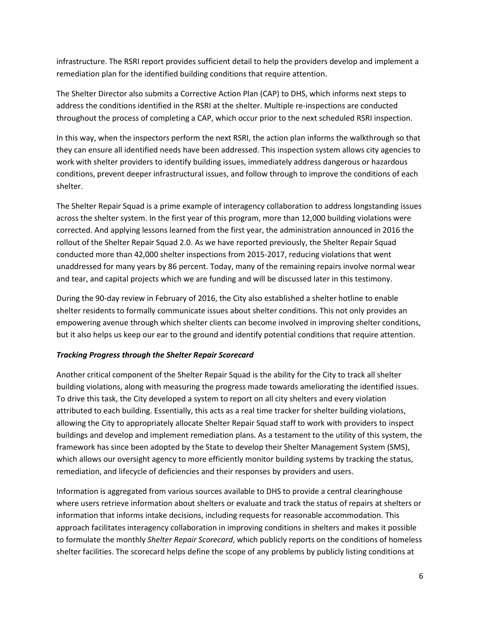infrastructure. The RSRI report provides sufficient detail to help the providers develop and implement a remediation plan for the identified building conditions that require attention.

The Shelter Director also submits a Corrective Action Plan (CAP) to DHS, which informs next steps to address the conditions identified in the RSRI at the shelter. Multiple re-inspections are conducted throughout the process of completing a CAP, which occur prior to the next scheduled RSRI inspection.

In this way, when the inspectors perform the next RSRI, the action plan informs the walkthrough so that they can ensure all identified needs have been addressed. This inspection system allows city agencies to work with shelter providers to identify building issues, immediately address dangerous or hazardous conditions, prevent deeper infrastructural issues, and follow through to improve the conditions of each shelter.

The Shelter Repair Squad is a prime example of interagency collaboration to address longstanding issues across the shelter system. In the first year of this program, more than 12,000 building violations were corrected. And applying lessons learned from the first year, the administration announced in 2016 the rollout of the Shelter Repair Squad 2.0. As we have reported previously, the Shelter Repair Squad conducted more than 42,000 shelter inspections from 2015-2017, reducing violations that went unaddressed for many years by 86 percent. Today, many of the remaining repairs involve normal wear and tear, and capital projects which we are funding and will be discussed later in this testimony.

During the 90-day review in February of 2016, the City also established a shelter hotline to enable shelter residents to formally communicate issues about shelter conditions. This not only provides an empowering avenue through which shelter clients can become involved in improving shelter conditions, but it also helps us keep our ear to the ground and identify potential conditions that require attention.

## *Tracking Progress through the Shelter Repair Scorecard*

Another critical component of the Shelter Repair Squad is the ability for the City to track all shelter building violations, along with measuring the progress made towards ameliorating the identified issues. To drive this task, the City developed a system to report on all city shelters and every violation attributed to each building. Essentially, this acts as a real time tracker for shelter building violations, allowing the City to appropriately allocate Shelter Repair Squad staff to work with providers to inspect buildings and develop and implement remediation plans. As a testament to the utility of this system, the framework has since been adopted by the State to develop their Shelter Management System (SMS), which allows our oversight agency to more efficiently monitor building systems by tracking the status, remediation, and lifecycle of deficiencies and their responses by providers and users.

Information is aggregated from various sources available to DHS to provide a central clearinghouse where users retrieve information about shelters or evaluate and track the status of repairs at shelters or information that informs intake decisions, including requests for reasonable accommodation. This approach facilitates interagency collaboration in improving conditions in shelters and makes it possible to formulate the monthly *Shelter Repair Scorecard*, which publicly reports on the conditions of homeless shelter facilities. The scorecard helps define the scope of any problems by publicly listing conditions at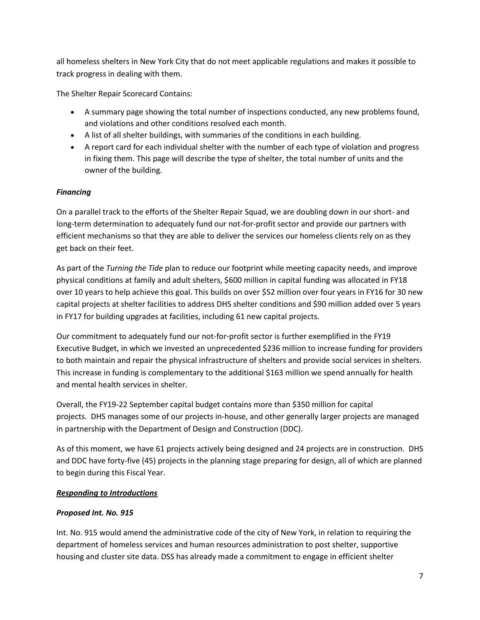all homeless shelters in New York City that do not meet applicable regulations and makes it possible to track progress in dealing with them.

The Shelter Repair Scorecard Contains:

- A summary page showing the total number of inspections conducted, any new problems found, and violations and other conditions resolved each month.
- A list of all shelter buildings, with summaries of the conditions in each building.
- A report card for each individual shelter with the number of each type of violation and progress in fixing them. This page will describe the type of shelter, the total number of units and the owner of the building.

## *Financing*

On a parallel track to the efforts of the Shelter Repair Squad, we are doubling down in our short- and long-term determination to adequately fund our not-for-profit sector and provide our partners with efficient mechanisms so that they are able to deliver the services our homeless clients rely on as they get back on their feet.

As part of the *Turning the Tide* plan to reduce our footprint while meeting capacity needs, and improve physical conditions at family and adult shelters, \$600 million in capital funding was allocated in FY18 over 10 years to help achieve this goal. This builds on over \$52 million over four years in FY16 for 30 new capital projects at shelter facilities to address DHS shelter conditions and \$90 million added over 5 years in FY17 for building upgrades at facilities, including 61 new capital projects.

Our commitment to adequately fund our not-for-profit sector is further exemplified in the FY19 Executive Budget, in which we invested an unprecedented \$236 million to increase funding for providers to both maintain and repair the physical infrastructure of shelters and provide social services in shelters. This increase in funding is complementary to the additional \$163 million we spend annually for health and mental health services in shelter.

Overall, the FY19-22 September capital budget contains more than \$350 million for capital projects. DHS manages some of our projects in-house, and other generally larger projects are managed in partnership with the Department of Design and Construction (DDC).

As of this moment, we have 61 projects actively being designed and 24 projects are in construction. DHS and DDC have forty-five (45) projects in the planning stage preparing for design, all of which are planned to begin during this Fiscal Year.

## *Responding to Introductions*

## *Proposed Int. No. 915*

Int. No. 915 would amend the administrative code of the city of New York, in relation to requiring the department of homeless services and human resources administration to post shelter, supportive housing and cluster site data. DSS has already made a commitment to engage in efficient shelter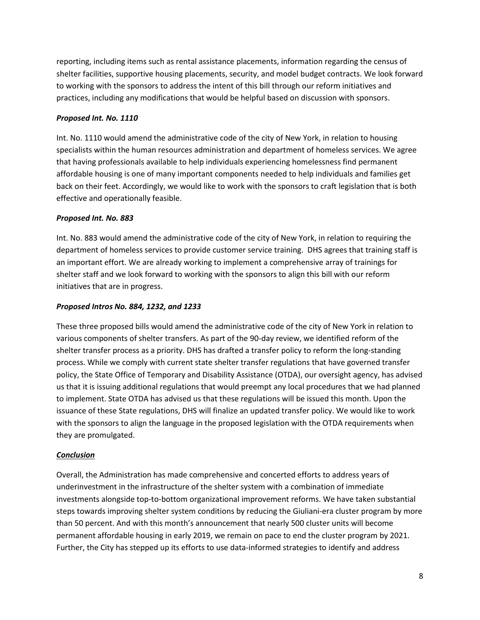reporting, including items such as rental assistance placements, information regarding the census of shelter facilities, supportive housing placements, security, and model budget contracts. We look forward to working with the sponsors to address the intent of this bill through our reform initiatives and practices, including any modifications that would be helpful based on discussion with sponsors.

#### *Proposed Int. No. 1110*

Int. No. 1110 would amend the administrative code of the city of New York, in relation to housing specialists within the human resources administration and department of homeless services. We agree that having professionals available to help individuals experiencing homelessness find permanent affordable housing is one of many important components needed to help individuals and families get back on their feet. Accordingly, we would like to work with the sponsors to craft legislation that is both effective and operationally feasible.

## *Proposed Int. No. 883*

Int. No. 883 would amend the administrative code of the city of New York, in relation to requiring the department of homeless services to provide customer service training. DHS agrees that training staff is an important effort. We are already working to implement a comprehensive array of trainings for shelter staff and we look forward to working with the sponsors to align this bill with our reform initiatives that are in progress.

#### *Proposed Intros No. 884, 1232, and 1233*

These three proposed bills would amend the administrative code of the city of New York in relation to various components of shelter transfers. As part of the 90-day review, we identified reform of the shelter transfer process as a priority. DHS has drafted a transfer policy to reform the long-standing process. While we comply with current state shelter transfer regulations that have governed transfer policy, the State Office of Temporary and Disability Assistance (OTDA), our oversight agency, has advised us that it is issuing additional regulations that would preempt any local procedures that we had planned to implement. State OTDA has advised us that these regulations will be issued this month. Upon the issuance of these State regulations, DHS will finalize an updated transfer policy. We would like to work with the sponsors to align the language in the proposed legislation with the OTDA requirements when they are promulgated.

## *Conclusion*

Overall, the Administration has made comprehensive and concerted efforts to address years of underinvestment in the infrastructure of the shelter system with a combination of immediate investments alongside top-to-bottom organizational improvement reforms. We have taken substantial steps towards improving shelter system conditions by reducing the Giuliani-era cluster program by more than 50 percent. And with this month's announcement that nearly 500 cluster units will become permanent affordable housing in early 2019, we remain on pace to end the cluster program by 2021. Further, the City has stepped up its efforts to use data-informed strategies to identify and address